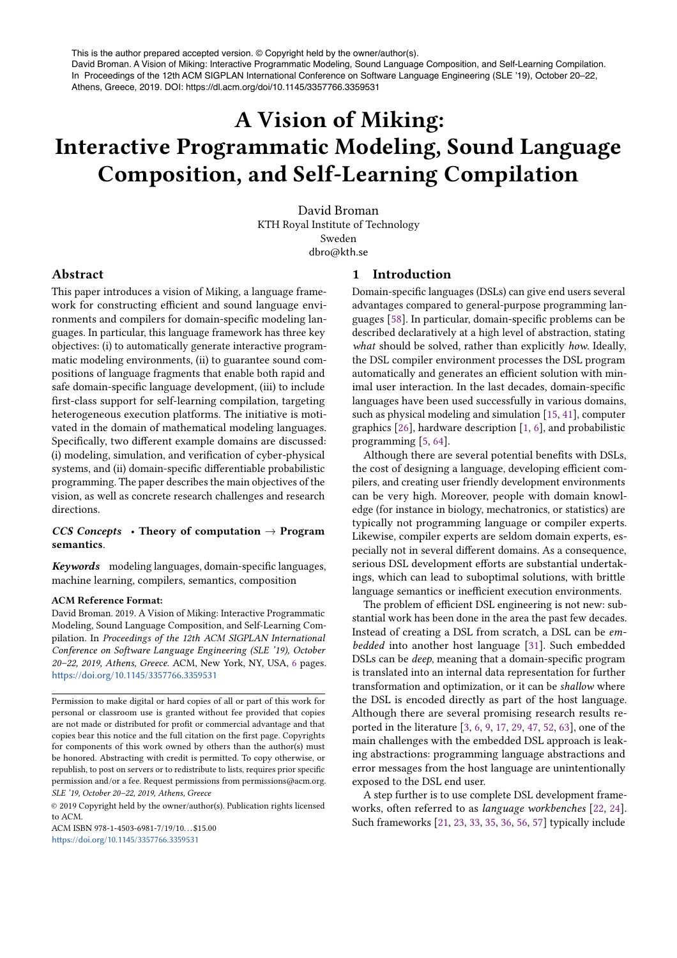This is the author prepared accepted version. © Copyright held by the owner/author(s). David Broman. A Vision of Miking: Interactive Programmatic Modeling, Sound Language Composition, and Self-Learning Compilation. In Proceedings of the 12th ACM SIGPLAN International Conference on Software Language Engineering (SLE '19), October 20–22, Athens, Greece, 2019. DOI: https://dl.acm.org/doi/10.1145/3357766.3359531

# A Vision of Miking: Interactive Programmatic Modeling, Sound Language Composition, and Self-Learning Compilation

David Broman KTH Royal Institute of Technology Sweden dbro@kth.se

# Abstract

This paper introduces a vision of Miking, a language framework for constructing efficient and sound language environments and compilers for domain-specific modeling languages. In particular, this language framework has three key objectives: (i) to automatically generate interactive programmatic modeling environments, (ii) to guarantee sound compositions of language fragments that enable both rapid and safe domain-specific language development, (iii) to include first-class support for self-learning compilation, targeting heterogeneous execution platforms. The initiative is motivated in the domain of mathematical modeling languages. Specifically, two different example domains are discussed: (i) modeling, simulation, and verification of cyber-physical systems, and (ii) domain-specific differentiable probabilistic programming. The paper describes the main objectives of the vision, as well as concrete research challenges and research directions.

# *CCS Concepts* • Theory of computation → Program semantics.

*Keywords* modeling languages, domain-specific languages, machine learning, compilers, semantics, composition

### ACM Reference Format:

David Broman. 2019. A Vision of Miking: Interactive Programmatic Modeling, Sound Language Composition, and Self-Learning Compilation. In *Proceedings of the 12th ACM SIGPLAN International Conference on Software Language Engineering (SLE '19), October 20–22, 2019, Athens, Greece.* ACM, New York, NY, USA, 6 pages. https://doi.org/10.1145/3357766.3359531

ACM ISBN 978-1-4503-6981-7/19/10. . . \$15.00 h!ps://doi.org/10.1145/3357766.3359531

## 1 Introduction

Domain-specific languages (DSLs) can give end users several advantages compared to general-purpose programming languages [58]. In particular, domain-specific problems can be described declaratively at a high level of abstraction, stating *what* should be solved, rather than explicitly *how*. Ideally, the DSL compiler environment processes the DSL program automatically and generates an efficient solution with minimal user interaction. In the last decades, domain-specific languages have been used successfully in various domains, such as physical modeling and simulation [15, 41], computer graphics [26], hardware description [1, 6], and probabilistic programming [5, 64].

Although there are several potential benefits with DSLs, the cost of designing a language, developing efficient compilers, and creating user friendly development environments can be very high. Moreover, people with domain knowledge (for instance in biology, mechatronics, or statistics) are typically not programming language or compiler experts. Likewise, compiler experts are seldom domain experts, especially not in several different domains. As a consequence, serious DSL development efforts are substantial undertakings, which can lead to suboptimal solutions, with brittle language semantics or inefficient execution environments.

The problem of efficient DSL engineering is not new: substantial work has been done in the area the past few decades. Instead of creating a DSL from scratch, a DSL can be *embedded* into another host language [31]. Such embedded DSLs can be *deep*, meaning that a domain-specific program is translated into an internal data representation for further transformation and optimization, or it can be *shallow* where the DSL is encoded directly as part of the host language. Although there are several promising research results reported in the literature [3, 6, 9, 17, 29, 47, 52, 63], one of the main challenges with the embedded DSL approach is leaking abstractions: programming language abstractions and error messages from the host language are unintentionally exposed to the DSL end user.

A step further is to use complete DSL development frameworks, often referred to as *language workbenches* [22, 24]. Such frameworks [21, 23, 33, 35, 36, 56, 57] typically include

Permission to make digital or hard copies of all or part of this work for personal or classroom use is granted without fee provided that copies are not made or distributed for profit or commercial advantage and that copies bear this notice and the full citation on the first page. Copyrights for components of this work owned by others than the author(s) must be honored. Abstracting with credit is permitted. To copy otherwise, or republish, to post on servers or to redistribute to lists, requires prior specific permission and/or a fee. Request permissions from permissions@acm.org. *SLE '19, October 20–22, 2019, Athens, Greece*

<sup>©</sup> 2019 Copyright held by the owner/author(s). Publication rights licensed to ACM.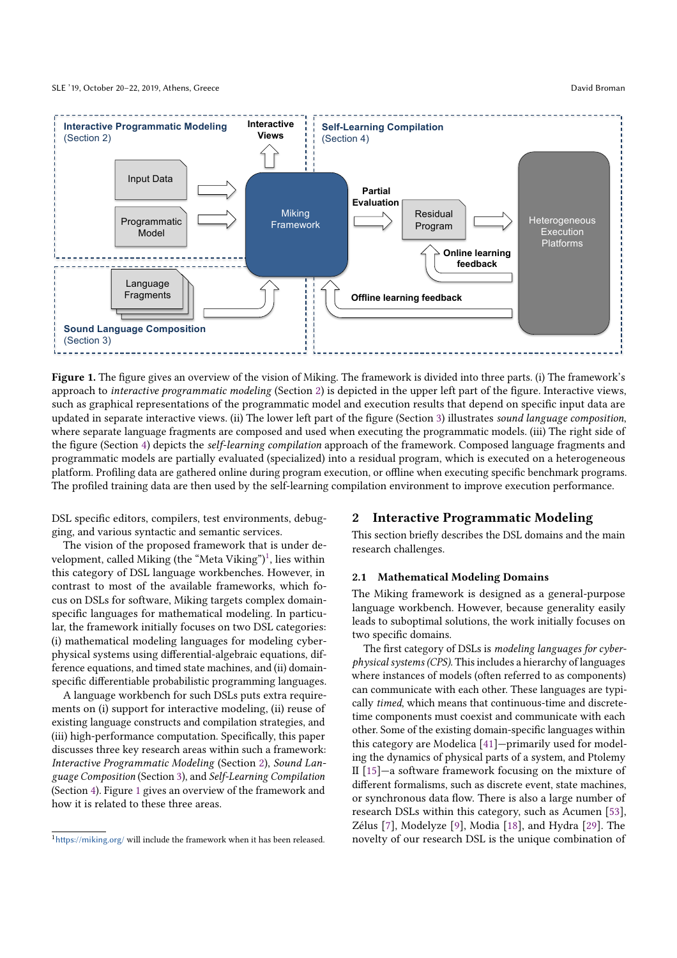SLE '19, October 20–22, 2019, Athens, Greece David Broman



Figure 1. The figure gives an overview of the vision of Miking. The framework is divided into three parts. (i) The framework's approach to *interactive programmatic modeling* (Section 2) is depicted in the upper left part of the "gure. Interactive views, such as graphical representations of the programmatic model and execution results that depend on specific input data are updated in separate interactive views. (ii) The lower left part of the figure (Section 3) illustrates *sound language composition*, where separate language fragments are composed and used when executing the programmatic models. (iii) The right side of the "gure (Section 4) depicts the *self-learning compilation* approach of the framework. Composed language fragments and programmatic models are partially evaluated (specialized) into a residual program, which is executed on a heterogeneous platform. Profiling data are gathered online during program execution, or offline when executing specific benchmark programs. The profiled training data are then used by the self-learning compilation environment to improve execution performance.

DSL specific editors, compilers, test environments, debugging, and various syntactic and semantic services.

The vision of the proposed framework that is under development, called Miking (the "Meta Viking")<sup>1</sup>, lies within this category of DSL language workbenches. However, in contrast to most of the available frameworks, which focus on DSLs for software, Miking targets complex domainspecific languages for mathematical modeling. In particular, the framework initially focuses on two DSL categories: (i) mathematical modeling languages for modeling cyberphysical systems using differential-algebraic equations, difference equations, and timed state machines, and (ii) domainspecific differentiable probabilistic programming languages.

A language workbench for such DSLs puts extra requirements on (i) support for interactive modeling, (ii) reuse of existing language constructs and compilation strategies, and (iii) high-performance computation. Specifically, this paper discusses three key research areas within such a framework: *Interactive Programmatic Modeling* (Section 2), *Sound Language Composition* (Section 3), and *Self-Learning Compilation* (Section 4). Figure 1 gives an overview of the framework and how it is related to these three areas.

# 2 Interactive Programmatic Modeling

This section briefly describes the DSL domains and the main research challenges.

# 2.1 Mathematical Modeling Domains

The Miking framework is designed as a general-purpose language workbench. However, because generality easily leads to suboptimal solutions, the work initially focuses on two specific domains.

The first category of DSLs is *modeling languages for cyberphysical systems (CPS)*. This includes a hierarchy of languages where instances of models (often referred to as components) can communicate with each other. These languages are typically *timed*, which means that continuous-time and discretetime components must coexist and communicate with each other. Some of the existing domain-specific languages within this category are Modelica [41]—primarily used for modeling the dynamics of physical parts of a system, and Ptolemy II [15]—a software framework focusing on the mixture of different formalisms, such as discrete event, state machines, or synchronous data flow. There is also a large number of research DSLs within this category, such as Acumen [53], Zélus [7], Modelyze [9], Modia [18], and Hydra [29]. The novelty of our research DSL is the unique combination of

 $1$ https://miking.org/ will include the framework when it has been released.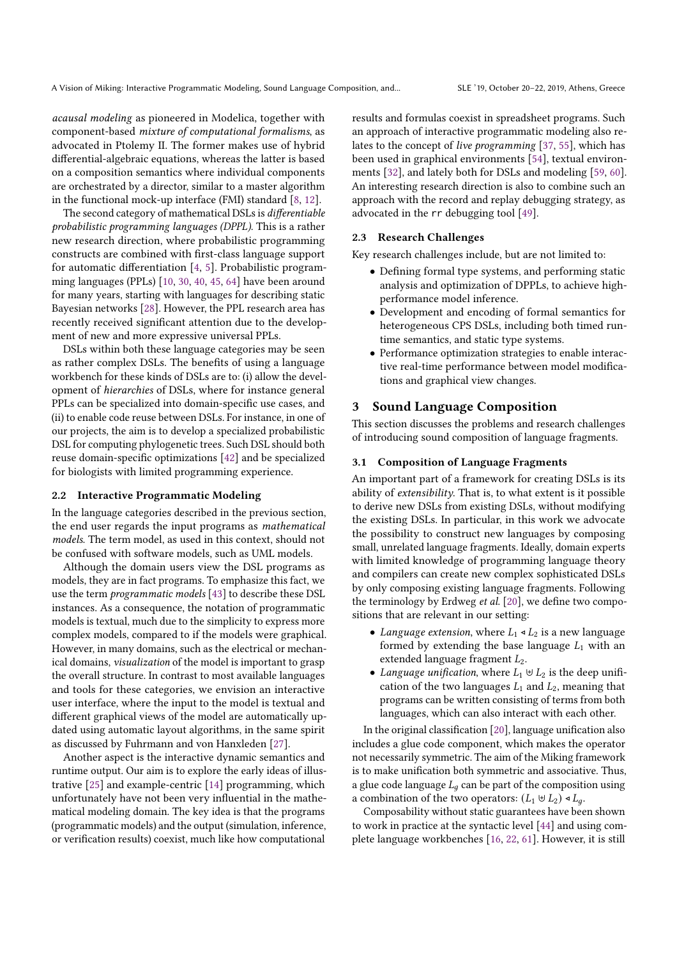*acausal modeling* as pioneered in Modelica, together with component-based *mixture of computational formalisms*, as advocated in Ptolemy II. The former makes use of hybrid differential-algebraic equations, whereas the latter is based on a composition semantics where individual components are orchestrated by a director, similar to a master algorithm in the functional mock-up interface (FMI) standard [8, 12].

The second category of mathematical DSLs is *differentiable probabilistic programming languages (DPPL)*. This is a rather new research direction, where probabilistic programming constructs are combined with first-class language support for automatic differentiation  $[4, 5]$ . Probabilistic programming languages (PPLs) [10, 30, 40, 45, 64] have been around for many years, starting with languages for describing static Bayesian networks [28]. However, the PPL research area has recently received significant attention due to the development of new and more expressive universal PPLs.

DSLs within both these language categories may be seen as rather complex DSLs. The benefits of using a language workbench for these kinds of DSLs are to: (i) allow the development of *hierarchies* of DSLs, where for instance general PPLs can be specialized into domain-specific use cases, and (ii) to enable code reuse between DSLs. For instance, in one of our projects, the aim is to develop a specialized probabilistic DSL for computing phylogenetic trees. Such DSL should both reuse domain-specific optimizations [42] and be specialized for biologists with limited programming experience.

## 2.2 Interactive Programmatic Modeling

In the language categories described in the previous section, the end user regards the input programs as *mathematical models*. The term model, as used in this context, should not be confused with software models, such as UML models.

Although the domain users view the DSL programs as models, they are in fact programs. To emphasize this fact, we use the term *programmatic models* [43] to describe these DSL instances. As a consequence, the notation of programmatic models is textual, much due to the simplicity to express more complex models, compared to if the models were graphical. However, in many domains, such as the electrical or mechanical domains, *visualization* of the model is important to grasp the overall structure. In contrast to most available languages and tools for these categories, we envision an interactive user interface, where the input to the model is textual and different graphical views of the model are automatically updated using automatic layout algorithms, in the same spirit as discussed by Fuhrmann and von Hanxleden [27].

Another aspect is the interactive dynamic semantics and runtime output. Our aim is to explore the early ideas of illustrative [25] and example-centric [14] programming, which unfortunately have not been very influential in the mathematical modeling domain. The key idea is that the programs (programmatic models) and the output (simulation, inference, or verification results) coexist, much like how computational

results and formulas coexist in spreadsheet programs. Such an approach of interactive programmatic modeling also relates to the concept of *live programming* [37, 55], which has been used in graphical environments [54], textual environments [32], and lately both for DSLs and modeling [59, 60]. An interesting research direction is also to combine such an approach with the record and replay debugging strategy, as advocated in the rr debugging tool [49].

# 2.3 Research Challenges

Key research challenges include, but are not limited to:

- $\bullet$  Defining formal type systems, and performing static analysis and optimization of DPPLs, to achieve highperformance model inference.
- Development and encoding of formal semantics for heterogeneous CPS DSLs, including both timed runtime semantics, and static type systems.
- Performance optimization strategies to enable interactive real-time performance between model modifications and graphical view changes.

# 3 Sound Language Composition

This section discusses the problems and research challenges of introducing sound composition of language fragments.

#### 3.1 Composition of Language Fragments

An important part of a framework for creating DSLs is its ability of *extensibility*. That is, to what extent is it possible to derive new DSLs from existing DSLs, without modifying the existing DSLs. In particular, in this work we advocate the possibility to construct new languages by composing small, unrelated language fragments. Ideally, domain experts with limited knowledge of programming language theory and compilers can create new complex sophisticated DSLs by only composing existing language fragments. Following the terminology by Erdweg et al. [20], we define two compositions that are relevant in our setting:

- *Language extension*, where  $L_1 \triangleleft L_2$  is a new language formed by extending the base language  $L_1$  with an extended language fragment  $L_2$ .
- *Language unification*, where  $L_1 \oplus L_2$  is the deep unification of the two languages  $L_1$  and  $L_2$ , meaning that programs can be written consisting of terms from both languages, which can also interact with each other.

In the original classification  $[20]$ , language unification also includes a glue code component, which makes the operator not necessarily symmetric. The aim of the Miking framework is to make unification both symmetric and associative. Thus, a glue code language  $L_q$  can be part of the composition using a combination of the two operators:  $(L_1 \oplus L_2) \triangleleft L_a$ .

Composability without static guarantees have been shown to work in practice at the syntactic level [44] and using complete language workbenches [16, 22, 61]. However, it is still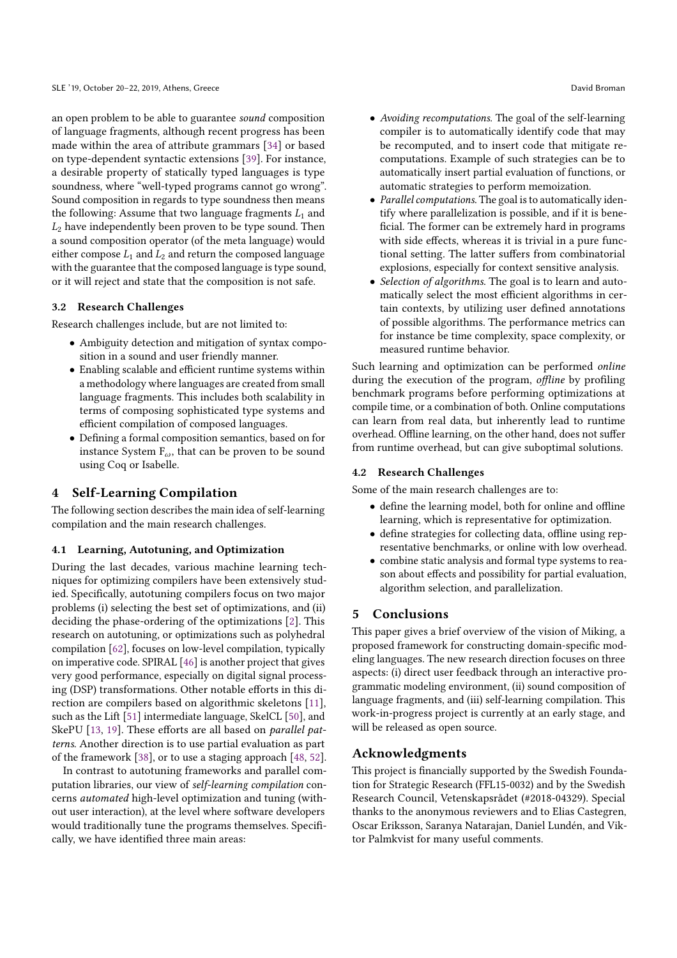an open problem to be able to guarantee *sound* composition of language fragments, although recent progress has been made within the area of attribute grammars [34] or based on type-dependent syntactic extensions [39]. For instance, a desirable property of statically typed languages is type soundness, where "well-typed programs cannot go wrong". Sound composition in regards to type soundness then means the following: Assume that two language fragments  $L_1$  and  $L_2$  have independently been proven to be type sound. Then a sound composition operator (of the meta language) would either compose  $L_1$  and  $L_2$  and return the composed language with the guarantee that the composed language is type sound, or it will reject and state that the composition is not safe.

# 3.2 Research Challenges

Research challenges include, but are not limited to:

- Ambiguity detection and mitigation of syntax composition in a sound and user friendly manner.
- $\bullet$  Enabling scalable and efficient runtime systems within a methodology where languages are created from small language fragments. This includes both scalability in terms of composing sophisticated type systems and efficient compilation of composed languages.
- Defining a formal composition semantics, based on for instance System  $F_{\omega}$ , that can be proven to be sound using Coq or Isabelle.

# 4 Self-Learning Compilation

The following section describes the main idea of self-learning compilation and the main research challenges.

## 4.1 Learning, Autotuning, and Optimization

During the last decades, various machine learning techniques for optimizing compilers have been extensively studied. Specifically, autotuning compilers focus on two major problems (i) selecting the best set of optimizations, and (ii) deciding the phase-ordering of the optimizations [2]. This research on autotuning, or optimizations such as polyhedral compilation [62], focuses on low-level compilation, typically on imperative code. SPIRAL [46] is another project that gives very good performance, especially on digital signal processing (DSP) transformations. Other notable efforts in this direction are compilers based on algorithmic skeletons [11], such as the Lift [51] intermediate language, SkelCL [50], and SkePU [13, 19]. These efforts are all based on *parallel patterns*. Another direction is to use partial evaluation as part of the framework [38], or to use a staging approach [48, 52].

In contrast to autotuning frameworks and parallel computation libraries, our view of *self-learning compilation* concerns *automated* high-level optimization and tuning (without user interaction), at the level where software developers would traditionally tune the programs themselves. Specifically, we have identified three main areas:

- *Avoiding recomputations*. The goal of the self-learning compiler is to automatically identify code that may be recomputed, and to insert code that mitigate recomputations. Example of such strategies can be to automatically insert partial evaluation of functions, or automatic strategies to perform memoization.
- *Parallel computations*. The goal is to automatically identify where parallelization is possible, and if it is bene ficial. The former can be extremely hard in programs with side effects, whereas it is trivial in a pure functional setting. The latter suffers from combinatorial explosions, especially for context sensitive analysis.
- *Selection of algorithms*. The goal is to learn and automatically select the most efficient algorithms in certain contexts, by utilizing user defined annotations of possible algorithms. The performance metrics can for instance be time complexity, space complexity, or measured runtime behavior.

Such learning and optimization can be performed *online* during the execution of the program, *offline* by profiling benchmark programs before performing optimizations at compile time, or a combination of both. Online computations can learn from real data, but inherently lead to runtime overhead. Offline learning, on the other hand, does not suffer from runtime overhead, but can give suboptimal solutions.

## 4.2 Research Challenges

Some of the main research challenges are to:

- $\bullet$  define the learning model, both for online and offline learning, which is representative for optimization.
- $\bullet$  define strategies for collecting data, offline using representative benchmarks, or online with low overhead.
- combine static analysis and formal type systems to reason about effects and possibility for partial evaluation, algorithm selection, and parallelization.

# 5 Conclusions

This paper gives a brief overview of the vision of Miking, a proposed framework for constructing domain-specific modeling languages. The new research direction focuses on three aspects: (i) direct user feedback through an interactive programmatic modeling environment, (ii) sound composition of language fragments, and (iii) self-learning compilation. This work-in-progress project is currently at an early stage, and will be released as open source.

# Acknowledgments

This project is financially supported by the Swedish Foundation for Strategic Research (FFL15-0032) and by the Swedish Research Council, Vetenskapsrådet (#2018-04329). Special thanks to the anonymous reviewers and to Elias Castegren, Oscar Eriksson, Saranya Natarajan, Daniel Lundén, and Viktor Palmkvist for many useful comments.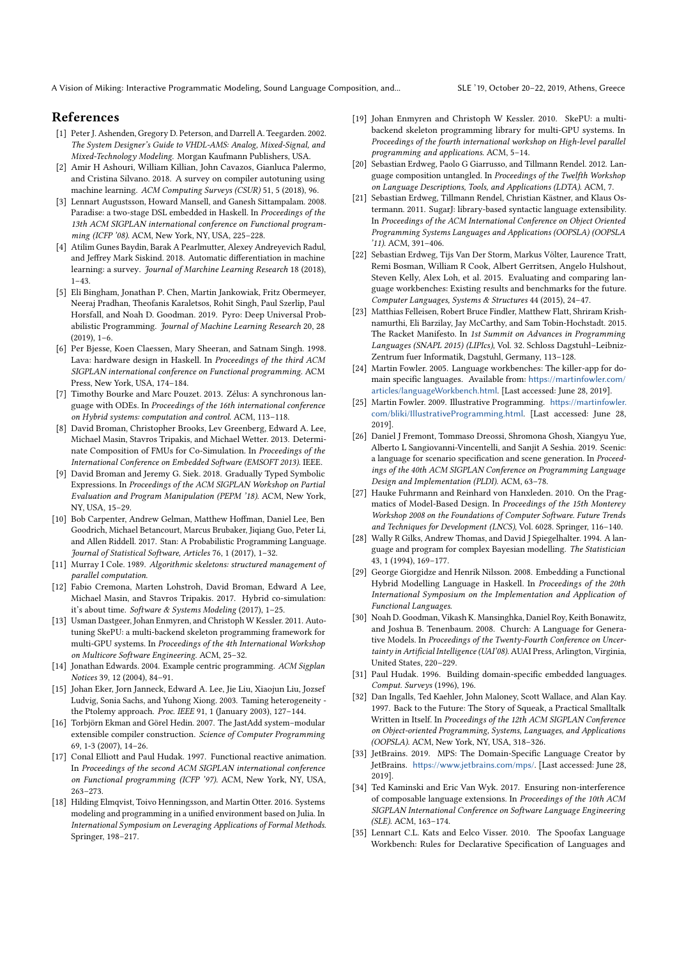A Vision of Miking: Interactive Programmatic Modeling, Sound Language Composition, and... SLE '19, October 20–22, 2019, Athens, Greece

# References

- [1] Peter J. Ashenden, Gregory D. Peterson, and Darrell A. Teegarden. 2002. *The System Designer's Guide to VHDL-AMS: Analog, Mixed-Signal, and Mixed-Technology Modeling*. Morgan Kaufmann Publishers, USA.
- [2] Amir H Ashouri, William Killian, John Cavazos, Gianluca Palermo, and Cristina Silvano. 2018. A survey on compiler autotuning using machine learning. *ACM Computing Surveys (CSUR)* 51, 5 (2018), 96.
- [3] Lennart Augustsson, Howard Mansell, and Ganesh Sittampalam. 2008. Paradise: a two-stage DSL embedded in Haskell. In *Proceedings of the 13th ACM SIGPLAN international conference on Functional programming (ICFP '08)*. ACM, New York, NY, USA, 225–228.
- [4] Atilim Gunes Baydin, Barak A Pearlmutter, Alexey Andreyevich Radul, and Jeffrey Mark Siskind. 2018. Automatic differentiation in machine learning: a survey. *Journal of Marchine Learning Research* 18 (2018), 1–43.
- [5] Eli Bingham, Jonathan P. Chen, Martin Jankowiak, Fritz Obermeyer, Neeraj Pradhan, Theofanis Karaletsos, Rohit Singh, Paul Szerlip, Paul Horsfall, and Noah D. Goodman. 2019. Pyro: Deep Universal Probabilistic Programming. *Journal of Machine Learning Research* 20, 28 (2019), 1–6.
- [6] Per Bjesse, Koen Claessen, Mary Sheeran, and Satnam Singh. 1998. Lava: hardware design in Haskell. In *Proceedings of the third ACM SIGPLAN international conference on Functional programming*. ACM Press, New York, USA, 174–184.
- [7] Timothy Bourke and Marc Pouzet. 2013. Zélus: A synchronous language with ODEs. In *Proceedings of the 16th international conference on Hybrid systems: computation and control*. ACM, 113–118.
- [8] David Broman, Christopher Brooks, Lev Greenberg, Edward A. Lee, Michael Masin, Stavros Tripakis, and Michael Wetter. 2013. Determinate Composition of FMUs for Co-Simulation. In *Proceedings of the International Conference on Embedded Software (EMSOFT 2013)*. IEEE.
- [9] David Broman and Jeremy G. Siek. 2018. Gradually Typed Symbolic Expressions. In *Proceedings of the ACM SIGPLAN Workshop on Partial Evaluation and Program Manipulation (PEPM '18)*. ACM, New York, NY, USA, 15–29.
- [10] Bob Carpenter, Andrew Gelman, Matthew Hoffman, Daniel Lee, Ben Goodrich, Michael Betancourt, Marcus Brubaker, Jiqiang Guo, Peter Li, and Allen Riddell. 2017. Stan: A Probabilistic Programming Language. *Journal of Statistical Software, Articles* 76, 1 (2017), 1–32.
- [11] Murray I Cole. 1989. *Algorithmic skeletons: structured management of parallel computation*.
- [12] Fabio Cremona, Marten Lohstroh, David Broman, Edward A Lee, Michael Masin, and Stavros Tripakis. 2017. Hybrid co-simulation: it's about time. *Software & Systems Modeling* (2017), 1–25.
- [13] Usman Dastgeer, Johan Enmyren, and Christoph W Kessler. 2011. Autotuning SkePU: a multi-backend skeleton programming framework for multi-GPU systems. In *Proceedings of the 4th International Workshop on Multicore Software Engineering*. ACM, 25–32.
- [14] Jonathan Edwards. 2004. Example centric programming. *ACM Sigplan Notices* 39, 12 (2004), 84–91.
- [15] Johan Eker, Jorn Janneck, Edward A. Lee, Jie Liu, Xiaojun Liu, Jozsef Ludvig, Sonia Sachs, and Yuhong Xiong. 2003. Taming heterogeneity the Ptolemy approach. *Proc. IEEE* 91, 1 (January 2003), 127–144.
- [16] Torbjörn Ekman and Görel Hedin. 2007. The JastAdd system–modular extensible compiler construction. *Science of Computer Programming* 69, 1-3  $(2007)$ , 14–26.
- [17] Conal Elliott and Paul Hudak. 1997. Functional reactive animation. In *Proceedings of the second ACM SIGPLAN international conference on Functional programming (ICFP '97)*. ACM, New York, NY, USA, 263–273.
- [18] Hilding Elmqvist, Toivo Henningsson, and Martin Otter. 2016. Systems modeling and programming in a unified environment based on Julia. In *International Symposium on Leveraging Applications of Formal Methods*. Springer, 198–217.
- [19] Johan Enmyren and Christoph W Kessler. 2010. SkePU: a multibackend skeleton programming library for multi-GPU systems. In *Proceedings of the fourth international workshop on High-level parallel programming and applications*. ACM, 5–14.
- [20] Sebastian Erdweg, Paolo G Giarrusso, and Tillmann Rendel. 2012. Language composition untangled. In *Proceedings of the Twelfth Workshop on Language Descriptions, Tools, and Applications (LDTA)*. ACM, 7.
- [21] Sebastian Erdweg, Tillmann Rendel, Christian Kästner, and Klaus Ostermann. 2011. SugarJ: library-based syntactic language extensibility. In *Proceedings of the ACM International Conference on Object Oriented Programming Systems Languages and Applications (OOPSLA) (OOPSLA '11)*. ACM, 391–406.
- [22] Sebastian Erdweg, Tijs Van Der Storm, Markus Völter, Laurence Tratt, Remi Bosman, William R Cook, Albert Gerritsen, Angelo Hulshout, Steven Kelly, Alex Loh, et al. 2015. Evaluating and comparing language workbenches: Existing results and benchmarks for the future. *Computer Languages, Systems & Structures* 44 (2015), 24–47.
- [23] Matthias Felleisen, Robert Bruce Findler, Matthew Flatt, Shriram Krishnamurthi, Eli Barzilay, Jay McCarthy, and Sam Tobin-Hochstadt. 2015. The Racket Manifesto. In *1st Summit on Advances in Programming Languages (SNAPL 2015) (LIPIcs)*, Vol. 32. Schloss Dagstuhl–Leibniz-Zentrum fuer Informatik, Dagstuhl, Germany, 113–128.
- [24] Martin Fowler. 2005. Language workbenches: The killer-app for domain specific languages. Available from: https://martinfowler.com/ articles/languageWorkbench.html. [Last accessed: June 28, 2019].
- [25] Martin Fowler. 2009. Illustrative Programming. https://martinfowler. com/bliki/IllustrativeProgramming.html. [Last accessed: June 28, 2019].
- [26] Daniel J Fremont, Tommaso Dreossi, Shromona Ghosh, Xiangyu Yue, Alberto L Sangiovanni-Vincentelli, and Sanjit A Seshia. 2019. Scenic: a language for scenario specification and scene generation. In *Proceedings of the 40th ACM SIGPLAN Conference on Programming Language Design and Implementation (PLDI)*. ACM, 63–78.
- [27] Hauke Fuhrmann and Reinhard von Hanxleden. 2010. On the Pragmatics of Model-Based Design. In *Proceedings of the 15th Monterey Workshop 2008 on the Foundations of Computer Software. Future Trends and Techniques for Development (LNCS)*, Vol. 6028. Springer, 116–140.
- [28] Wally R Gilks, Andrew Thomas, and David J Spiegelhalter. 1994. A language and program for complex Bayesian modelling. *The Statistician* 43, 1 (1994), 169–177.
- [29] George Giorgidze and Henrik Nilsson. 2008. Embedding a Functional Hybrid Modelling Language in Haskell. In *Proceedings of the 20th International Symposium on the Implementation and Application of Functional Languages*.
- [30] Noah D. Goodman, Vikash K. Mansinghka, Daniel Roy, Keith Bonawitz, and Joshua B. Tenenbaum. 2008. Church: A Language for Generative Models. In *Proceedings of the Twenty-Fourth Conference on Uncer*tainty in Artificial Intelligence (UAI'08). AUAI Press, Arlington, Virginia, United States, 220–229.
- [31] Paul Hudak. 1996. Building domain-specific embedded languages. *Comput. Surveys* (1996), 196.
- [32] Dan Ingalls, Ted Kaehler, John Maloney, Scott Wallace, and Alan Kay. 1997. Back to the Future: The Story of Squeak, a Practical Smalltalk Written in Itself. In *Proceedings of the 12th ACM SIGPLAN Conference on Object-oriented Programming, Systems, Languages, and Applications (OOPSLA)*. ACM, New York, NY, USA, 318–326.
- [33] JetBrains. 2019. MPS: The Domain-Specific Language Creator by JetBrains. https://www.jetbrains.com/mps/. [Last accessed: June 28, 2019].
- [34] Ted Kaminski and Eric Van Wyk. 2017. Ensuring non-interference of composable language extensions. In *Proceedings of the 10th ACM SIGPLAN International Conference on Software Language Engineering (SLE)*. ACM, 163–174.
- [35] Lennart C.L. Kats and Eelco Visser. 2010. The Spoofax Language Workbench: Rules for Declarative Specification of Languages and